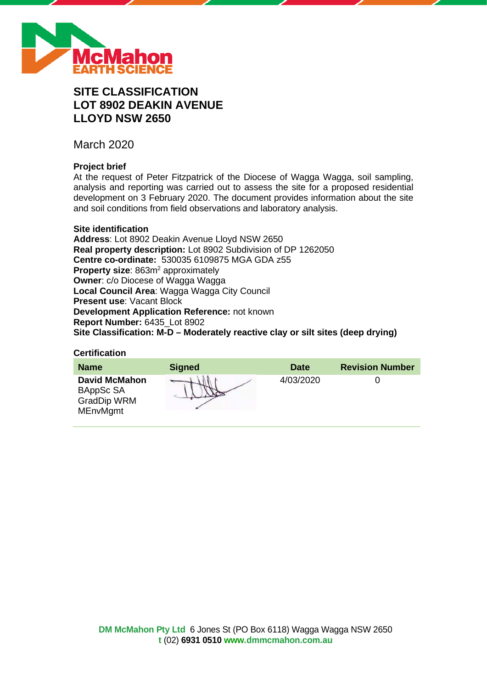

# **SITE CLASSIFICATION LOT 8902 DEAKIN AVENUE LLOYD NSW 2650**

March 2020

# **Project brief**

At the request of Peter Fitzpatrick of the Diocese of Wagga Wagga, soil sampling, analysis and reporting was carried out to assess the site for a proposed residential development on 3 February 2020. The document provides information about the site and soil conditions from field observations and laboratory analysis.

## **Site identification**

**Address**: Lot 8902 Deakin Avenue Lloyd NSW 2650 **Real property description:** Lot 8902 Subdivision of DP 1262050 **Centre co-ordinate:** 530035 6109875 MGA GDA z55 **Property size:** 863m<sup>2</sup> approximately **Owner**: c/o Diocese of Wagga Wagga **Local Council Area**: Wagga Wagga City Council **Present use**: Vacant Block **Development Application Reference:** not known **Report Number:** 6435\_Lot 8902 **Site Classification: M-D – Moderately reactive clay or silt sites (deep drying)**

#### **Certification**

| <b>Name</b>                                                                | <b>Signed</b> | <b>Date</b> | <b>Revision Number</b> |
|----------------------------------------------------------------------------|---------------|-------------|------------------------|
| <b>David McMahon</b><br>BAppSc SA<br><b>GradDip WRM</b><br><b>MEnvMgmt</b> |               | 4/03/2020   |                        |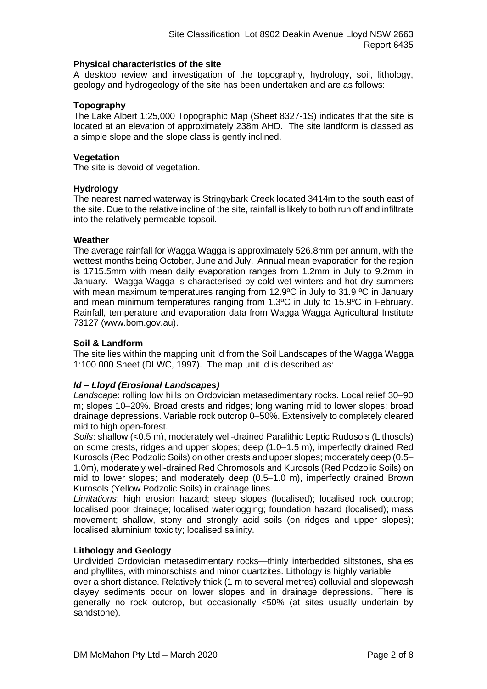## **Physical characteristics of the site**

A desktop review and investigation of the topography, hydrology, soil, lithology, geology and hydrogeology of the site has been undertaken and are as follows:

# **Topography**

The Lake Albert 1:25,000 Topographic Map (Sheet 8327-1S) indicates that the site is located at an elevation of approximately 238m AHD. The site landform is classed as a simple slope and the slope class is gently inclined.

# **Vegetation**

The site is devoid of vegetation.

## **Hydrology**

The nearest named waterway is Stringybark Creek located 3414m to the south east of the site. Due to the relative incline of the site, rainfall is likely to both run off and infiltrate into the relatively permeable topsoil.

## **Weather**

The average rainfall for Wagga Wagga is approximately 526.8mm per annum, with the wettest months being October, June and July. Annual mean evaporation for the region is 1715.5mm with mean daily evaporation ranges from 1.2mm in July to 9.2mm in January. Wagga Wagga is characterised by cold wet winters and hot dry summers with mean maximum temperatures ranging from 12.9°C in July to 31.9 °C in January and mean minimum temperatures ranging from 1.3ºC in July to 15.9ºC in February. Rainfall, temperature and evaporation data from Wagga Wagga Agricultural Institute 73127 (www.bom.gov.au).

# **Soil & Landform**

The site lies within the mapping unit ld from the Soil Landscapes of the Wagga Wagga 1:100 000 Sheet (DLWC, 1997). The map unit ld is described as:

# *ld – Lloyd (Erosional Landscapes)*

*Landscape*: rolling low hills on Ordovician metasedimentary rocks. Local relief 30–90 m; slopes 10–20%. Broad crests and ridges; long waning mid to lower slopes; broad drainage depressions. Variable rock outcrop 0–50%. Extensively to completely cleared mid to high open-forest.

*Soils*: shallow (<0.5 m), moderately well-drained Paralithic Leptic Rudosols (Lithosols) on some crests, ridges and upper slopes; deep (1.0–1.5 m), imperfectly drained Red Kurosols (Red Podzolic Soils) on other crests and upper slopes; moderately deep (0.5– 1.0m), moderately well-drained Red Chromosols and Kurosols (Red Podzolic Soils) on mid to lower slopes; and moderately deep (0.5–1.0 m), imperfectly drained Brown Kurosols (Yellow Podzolic Soils) in drainage lines.

*Limitations*: high erosion hazard; steep slopes (localised); localised rock outcrop; localised poor drainage; localised waterlogging; foundation hazard (localised); mass movement; shallow, stony and strongly acid soils (on ridges and upper slopes); localised aluminium toxicity; localised salinity.

# **Lithology and Geology**

Undivided Ordovician metasedimentary rocks—thinly interbedded siltstones, shales and phyllites, with minorschists and minor quartzites. Lithology is highly variable

over a short distance. Relatively thick (1 m to several metres) colluvial and slopewash clayey sediments occur on lower slopes and in drainage depressions. There is generally no rock outcrop, but occasionally <50% (at sites usually underlain by sandstone).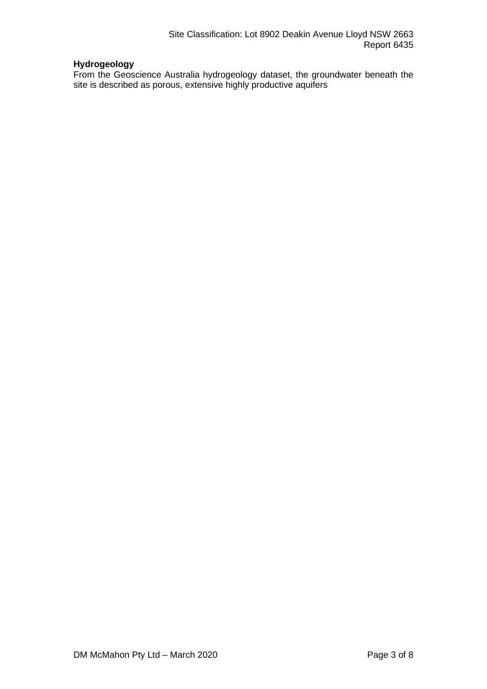# **Hydrogeology**

From the Geoscience Australia hydrogeology dataset, the groundwater beneath the site is described as porous, extensive highly productive aquifers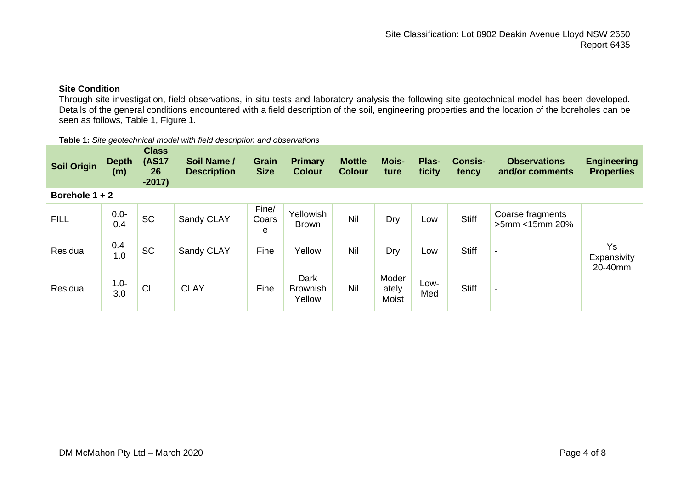# **Site Condition**

Through site investigation, field observations, in situ tests and laboratory analysis the following site geotechnical model has been developed. Details of the general conditions encountered with a field description of the soil, engineering properties and the location of the boreholes can be seen as follows, Table 1, Figure 1.

| Table 1: Site geotechnical model with field description and observations |  |
|--------------------------------------------------------------------------|--|
|--------------------------------------------------------------------------|--|

| <b>Soil Origin</b> | <b>Depth</b><br>(m) | <b>Class</b><br><b>(AS17</b><br>26<br>$-2017)$ | Soil Name /<br><b>Description</b> | <b>Grain</b><br><b>Size</b> | <b>Primary</b><br><b>Colour</b>   | <b>Mottle</b><br><b>Colour</b> | <b>Mois-</b><br>ture           | Plas-<br>ticity | <b>Consis-</b><br>tency | <b>Observations</b><br>and/or comments | <b>Engineering</b><br><b>Properties</b> |
|--------------------|---------------------|------------------------------------------------|-----------------------------------|-----------------------------|-----------------------------------|--------------------------------|--------------------------------|-----------------|-------------------------|----------------------------------------|-----------------------------------------|
| Borehole 1 + 2     |                     |                                                |                                   |                             |                                   |                                |                                |                 |                         |                                        |                                         |
| <b>FILL</b>        | $0.0 -$<br>0.4      | <b>SC</b>                                      | Sandy CLAY                        | Fine/<br>Coars<br>e         | Yellowish<br><b>Brown</b>         | Nil                            | Dry                            | Low             | <b>Stiff</b>            | Coarse fragments<br>$>5$ mm < 15mm 20% |                                         |
| Residual           | $0.4 -$<br>1.0      | <b>SC</b>                                      | Sandy CLAY                        | Fine                        | Yellow                            | Nil                            | Dry                            | Low             | <b>Stiff</b>            | $\overline{\phantom{a}}$               | Ys<br>Expansivity                       |
| Residual           | $1.0 -$<br>3.0      | CI                                             | <b>CLAY</b>                       | Fine                        | Dark<br><b>Brownish</b><br>Yellow | Nil                            | Moder<br>ately<br><b>Moist</b> | Low-<br>Med     | <b>Stiff</b>            | $\overline{\phantom{a}}$               | 20-40mm                                 |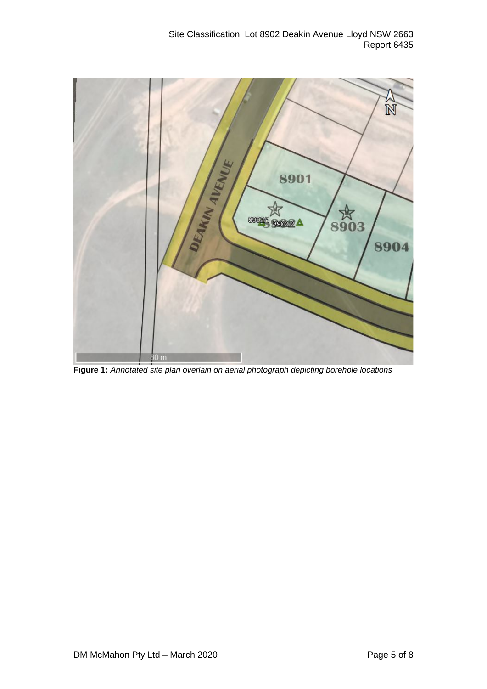

**Figure 1:** *Annotated site plan overlain on aerial photograph depicting borehole locations*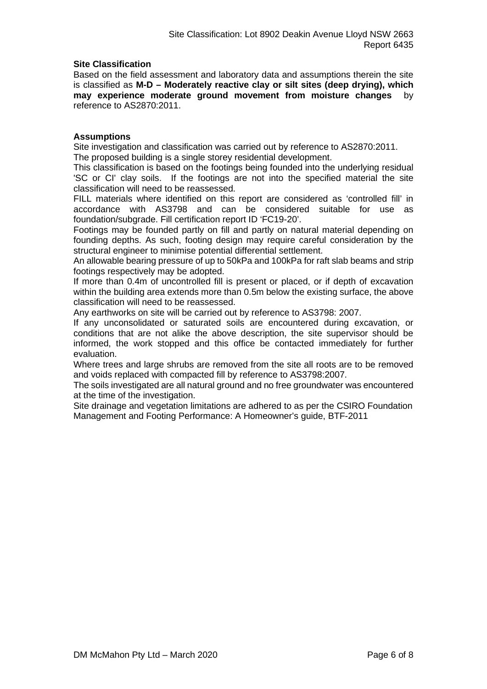# **Site Classification**

Based on the field assessment and laboratory data and assumptions therein the site is classified as **M-D – Moderately reactive clay or silt sites (deep drying), which may experience moderate ground movement from moisture changes** by reference to AS2870:2011.

# **Assumptions**

Site investigation and classification was carried out by reference to AS2870:2011. The proposed building is a single storey residential development.

This classification is based on the footings being founded into the underlying residual 'SC or CI' clay soils. If the footings are not into the specified material the site classification will need to be reassessed.

FILL materials where identified on this report are considered as 'controlled fill' in accordance with AS3798 and can be considered suitable for use as foundation/subgrade. Fill certification report ID 'FC19-20'.

Footings may be founded partly on fill and partly on natural material depending on founding depths. As such, footing design may require careful consideration by the structural engineer to minimise potential differential settlement.

An allowable bearing pressure of up to 50kPa and 100kPa for raft slab beams and strip footings respectively may be adopted.

If more than 0.4m of uncontrolled fill is present or placed, or if depth of excavation within the building area extends more than 0.5m below the existing surface, the above classification will need to be reassessed.

Any earthworks on site will be carried out by reference to AS3798: 2007.

If any unconsolidated or saturated soils are encountered during excavation, or conditions that are not alike the above description, the site supervisor should be informed, the work stopped and this office be contacted immediately for further evaluation.

Where trees and large shrubs are removed from the site all roots are to be removed and voids replaced with compacted fill by reference to AS3798:2007.

The soils investigated are all natural ground and no free groundwater was encountered at the time of the investigation.

Site drainage and vegetation limitations are adhered to as per the CSIRO Foundation Management and Footing Performance: A Homeowner's guide, BTF-2011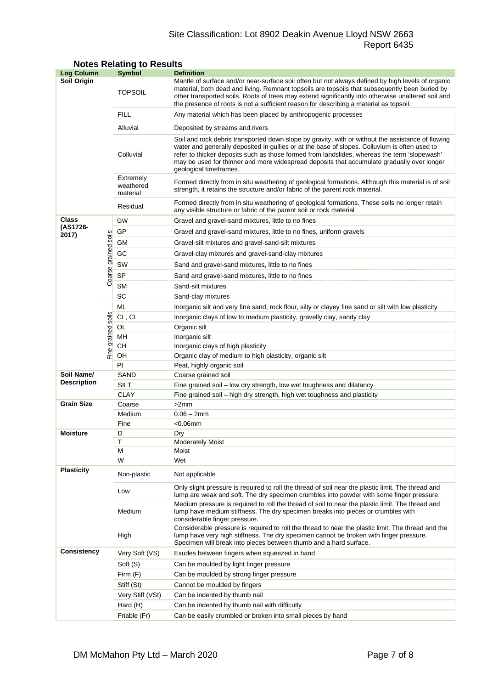# Site Classification: Lot 8902 Deakin Avenue Lloyd NSW 2663 Report 6435

| <b>Log Column</b>  |                      | <b>Symbol</b>                      | <b>Definition</b>                                                                                                                                                                                                                                                                                                                                                                                                          |  |  |  |  |  |
|--------------------|----------------------|------------------------------------|----------------------------------------------------------------------------------------------------------------------------------------------------------------------------------------------------------------------------------------------------------------------------------------------------------------------------------------------------------------------------------------------------------------------------|--|--|--|--|--|
| <b>Soil Origin</b> |                      | <b>TOPSOIL</b>                     | Mantle of surface and/or near-surface soil often but not always defined by high levels of organic<br>material, both dead and living. Remnant topsoils are topsoils that subsequently been buried by<br>other transported soils. Roots of trees may extend significantly into otherwise unaltered soil and<br>the presence of roots is not a sufficient reason for describing a material as topsoil.                        |  |  |  |  |  |
|                    |                      | <b>FILL</b>                        | Any material which has been placed by anthropogenic processes                                                                                                                                                                                                                                                                                                                                                              |  |  |  |  |  |
|                    |                      | Alluvial                           | Deposited by streams and rivers                                                                                                                                                                                                                                                                                                                                                                                            |  |  |  |  |  |
|                    |                      | Colluvial                          | Soil and rock debris transported down slope by gravity, with or without the assistance of flowing<br>water and generally deposited in gullies or at the base of slopes. Colluvium is often used to<br>refer to thicker deposits such as those formed from landslides, whereas the term 'slopewash'<br>may be used for thinner and more widespread deposits that accumulate gradually over longer<br>geological timeframes. |  |  |  |  |  |
|                    |                      | Extremely<br>weathered<br>material | Formed directly from in situ weathering of geological formations. Although this material is of soil<br>strength, it retains the structure and/or fabric of the parent rock material.                                                                                                                                                                                                                                       |  |  |  |  |  |
|                    |                      | Residual                           | Formed directly from in situ weathering of geological formations. These soils no longer retain<br>any visible structure or fabric of the parent soil or rock material                                                                                                                                                                                                                                                      |  |  |  |  |  |
| Class              |                      | GW                                 | Gravel and gravel-sand mixtures, little to no fines                                                                                                                                                                                                                                                                                                                                                                        |  |  |  |  |  |
| (AS1726-<br>2017)  |                      | GP                                 | Gravel and gravel-sand mixtures, little to no fines, uniform gravels                                                                                                                                                                                                                                                                                                                                                       |  |  |  |  |  |
|                    |                      | GМ                                 | Gravel-silt mixtures and gravel-sand-silt mixtures                                                                                                                                                                                                                                                                                                                                                                         |  |  |  |  |  |
|                    |                      | GC                                 | Gravel-clay mixtures and gravel-sand-clay mixtures                                                                                                                                                                                                                                                                                                                                                                         |  |  |  |  |  |
|                    |                      | SW                                 | Sand and gravel-sand mixtures, little to no fines                                                                                                                                                                                                                                                                                                                                                                          |  |  |  |  |  |
|                    |                      | <b>SP</b>                          |                                                                                                                                                                                                                                                                                                                                                                                                                            |  |  |  |  |  |
|                    | Coarse grained soils | <b>SM</b>                          | Sand and gravel-sand mixtures, little to no fines<br>Sand-silt mixtures                                                                                                                                                                                                                                                                                                                                                    |  |  |  |  |  |
|                    |                      | SC                                 |                                                                                                                                                                                                                                                                                                                                                                                                                            |  |  |  |  |  |
|                    |                      |                                    | Sand-clay mixtures                                                                                                                                                                                                                                                                                                                                                                                                         |  |  |  |  |  |
|                    |                      | ML                                 | Inorganic silt and very fine sand, rock flour, silty or clayey fine sand or silt with low plasticity                                                                                                                                                                                                                                                                                                                       |  |  |  |  |  |
|                    | soils                | CL, CI                             | Inorganic clays of low to medium plasticity, gravelly clay, sandy clay                                                                                                                                                                                                                                                                                                                                                     |  |  |  |  |  |
|                    |                      | OL<br>MН                           | Organic silt<br>Inorganic silt                                                                                                                                                                                                                                                                                                                                                                                             |  |  |  |  |  |
| Fine grained       |                      | CН                                 | Inorganic clays of high plasticity                                                                                                                                                                                                                                                                                                                                                                                         |  |  |  |  |  |
|                    |                      | OН                                 | Organic clay of medium to high plasticity, organic silt                                                                                                                                                                                                                                                                                                                                                                    |  |  |  |  |  |
|                    |                      | Pt                                 | Peat, highly organic soil                                                                                                                                                                                                                                                                                                                                                                                                  |  |  |  |  |  |
| Soil Name/         |                      | SAND                               | Coarse grained soil                                                                                                                                                                                                                                                                                                                                                                                                        |  |  |  |  |  |
| <b>Description</b> |                      | SILT                               | Fine grained soil - low dry strength, low wet toughness and dilatancy                                                                                                                                                                                                                                                                                                                                                      |  |  |  |  |  |
|                    |                      | <b>CLAY</b>                        | Fine grained soil – high dry strength, high wet toughness and plasticity                                                                                                                                                                                                                                                                                                                                                   |  |  |  |  |  |
| <b>Grain Size</b>  |                      | Coarse                             | >2mm                                                                                                                                                                                                                                                                                                                                                                                                                       |  |  |  |  |  |
|                    |                      | Medium                             | $0.06 - 2mm$                                                                                                                                                                                                                                                                                                                                                                                                               |  |  |  |  |  |
|                    |                      | Fine                               | $<$ 0.06 $mm$                                                                                                                                                                                                                                                                                                                                                                                                              |  |  |  |  |  |
| <b>Moisture</b>    |                      | D                                  | Dry                                                                                                                                                                                                                                                                                                                                                                                                                        |  |  |  |  |  |
|                    |                      | Т<br>М                             | <b>Moderately Moist</b><br>Moist                                                                                                                                                                                                                                                                                                                                                                                           |  |  |  |  |  |
|                    |                      | W                                  | Wet                                                                                                                                                                                                                                                                                                                                                                                                                        |  |  |  |  |  |
| <b>Plasticity</b>  |                      | Non-plastic                        | Not applicable                                                                                                                                                                                                                                                                                                                                                                                                             |  |  |  |  |  |
|                    |                      | Low                                | Only slight pressure is required to roll the thread of soil near the plastic limit. The thread and<br>lump are weak and soft. The dry specimen crumbles into powder with some finger pressure.                                                                                                                                                                                                                             |  |  |  |  |  |
|                    |                      | Medium                             | Medium pressure is required to roll the thread of soil to near the plastic limit. The thread and<br>lump have medium stiffness. The dry specimen breaks into pieces or crumbles with<br>considerable finger pressure.                                                                                                                                                                                                      |  |  |  |  |  |
|                    |                      | High                               | Considerable pressure is required to roll the thread to near the plastic limit. The thread and the<br>lump have very high stiffness. The dry specimen cannot be broken with finger pressure.<br>Specimen will break into pieces between thumb and a hard surface.                                                                                                                                                          |  |  |  |  |  |
| <b>Consistency</b> |                      | Very Soft (VS)                     | Exudes between fingers when squeezed in hand                                                                                                                                                                                                                                                                                                                                                                               |  |  |  |  |  |
|                    |                      | Soft (S)                           | Can be moulded by light finger pressure                                                                                                                                                                                                                                                                                                                                                                                    |  |  |  |  |  |
|                    |                      | Firm (F)                           | Can be moulded by strong finger pressure                                                                                                                                                                                                                                                                                                                                                                                   |  |  |  |  |  |
|                    |                      | Stiff (St)                         | Cannot be moulded by fingers                                                                                                                                                                                                                                                                                                                                                                                               |  |  |  |  |  |
|                    |                      | Very Stiff (VSt)                   | Can be indented by thumb nail                                                                                                                                                                                                                                                                                                                                                                                              |  |  |  |  |  |
|                    |                      | Hard (H)                           | Can be indented by thumb nail with difficulty                                                                                                                                                                                                                                                                                                                                                                              |  |  |  |  |  |
|                    |                      | Friable (Fr)                       | Can be easily crumbled or broken into small pieces by hand                                                                                                                                                                                                                                                                                                                                                                 |  |  |  |  |  |

# **Notes Relating to Results**